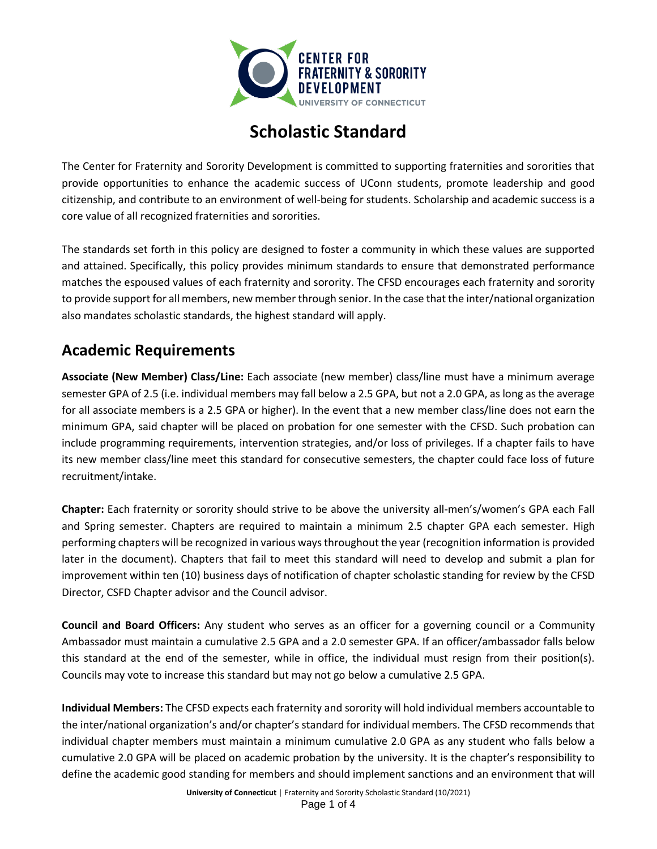

# **Scholastic Standard**

The Center for Fraternity and Sorority Development is committed to supporting fraternities and sororities that provide opportunities to enhance the academic success of UConn students, promote leadership and good citizenship, and contribute to an environment of well-being for students. Scholarship and academic success is a core value of all recognized fraternities and sororities.

The standards set forth in this policy are designed to foster a community in which these values are supported and attained. Specifically, this policy provides minimum standards to ensure that demonstrated performance matches the espoused values of each fraternity and sorority. The CFSD encourages each fraternity and sorority to provide support for all members, new member through senior. In the case that the inter/national organization also mandates scholastic standards, the highest standard will apply.

#### **Academic Requirements**

**Associate (New Member) Class/Line:** Each associate (new member) class/line must have a minimum average semester GPA of 2.5 (i.e. individual members may fall below a 2.5 GPA, but not a 2.0 GPA, as long as the average for all associate members is a 2.5 GPA or higher). In the event that a new member class/line does not earn the minimum GPA, said chapter will be placed on probation for one semester with the CFSD. Such probation can include programming requirements, intervention strategies, and/or loss of privileges. If a chapter fails to have its new member class/line meet this standard for consecutive semesters, the chapter could face loss of future recruitment/intake.

**Chapter:** Each fraternity or sorority should strive to be above the university all-men's/women's GPA each Fall and Spring semester. Chapters are required to maintain a minimum 2.5 chapter GPA each semester. High performing chapters will be recognized in various ways throughout the year (recognition information is provided later in the document). Chapters that fail to meet this standard will need to develop and submit a plan for improvement within ten (10) business days of notification of chapter scholastic standing for review by the CFSD Director, CSFD Chapter advisor and the Council advisor.

**Council and Board Officers:** Any student who serves as an officer for a governing council or a Community Ambassador must maintain a cumulative 2.5 GPA and a 2.0 semester GPA. If an officer/ambassador falls below this standard at the end of the semester, while in office, the individual must resign from their position(s). Councils may vote to increase this standard but may not go below a cumulative 2.5 GPA.

**Individual Members:** The CFSD expects each fraternity and sorority will hold individual members accountable to the inter/national organization's and/or chapter's standard for individual members. The CFSD recommends that individual chapter members must maintain a minimum cumulative 2.0 GPA as any student who falls below a cumulative 2.0 GPA will be placed on academic probation by the university. It is the chapter's responsibility to define the academic good standing for members and should implement sanctions and an environment that will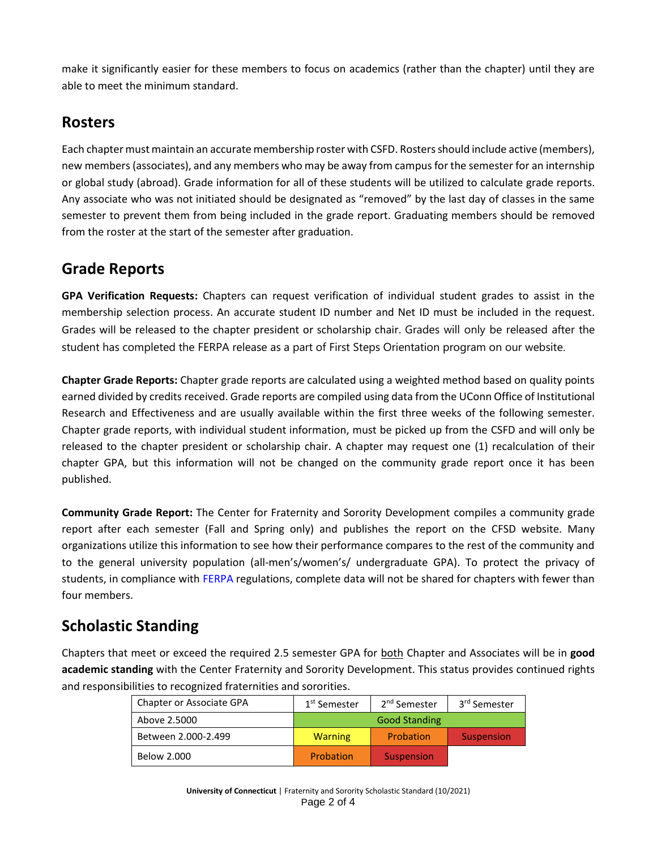make it significantly easier for these members to focus on academics (rather than the chapter) until they are able to meet the minimum standard.

#### **Rosters**

Each chapter must maintain an accurate membership roster with CSFD. Rosters should include active (members), new members (associates), and any members who may be away from campus for the semester for an internship or global study (abroad). Grade information for all of these students will be utilized to calculate grade reports. Any associate who was not initiated should be designated as "removed" by the last day of classes in the same semester to prevent them from being included in the grade report. Graduating members should be removed from the roster at the start of the semester after graduation.

### **Grade Reports**

**GPA Verification Requests:** Chapters can request verification of individual student grades to assist in the membership selection process. An accurate student ID number and Net ID must be included in the request. Grades will be released to the chapter president or scholarship chair. Grades will only be released after the student has completed the FERPA release as a part of First Steps Orientation program on our website.

**Chapter Grade Reports:** Chapter grade reports are calculated using a weighted method based on quality points earned divided by credits received. Grade reports are compiled using data from the UConn Office of Institutional Research and Effectiveness and are usually available within the first three weeks of the following semester. Chapter grade reports, with individual student information, must be picked up from the CSFD and will only be released to the chapter president or scholarship chair. A chapter may request one (1) recalculation of their chapter GPA, but this information will not be changed on the community grade report once it has been published.

**Community Grade Report:** The Center for Fraternity and Sorority Development compiles a community grade report after each semester (Fall and Spring only) and publishes the report on the CFSD website. Many organizations utilize this information to see how their performance compares to the rest of the community and to the general university population (all-men's/women's/ undergraduate GPA). To protect the privacy of students, in compliance with [FERPA](http://ferpa.uconn.edu/) regulations, complete data will not be shared for chapters with fewer than four members.

## **Scholastic Standing**

Chapters that meet or exceed the required 2.5 semester GPA for both Chapter and Associates will be in **good academic standing** with the Center Fraternity and Sorority Development. This status provides continued rights and responsibilities to recognized fraternities and sororities.

| Chapter or Associate GPA | 1 <sup>st</sup> Semester | 2 <sup>nd</sup> Semester | 3 <sup>rd</sup> Semester |
|--------------------------|--------------------------|--------------------------|--------------------------|
| Above 2.5000             | <b>Good Standing</b>     |                          |                          |
| Between 2.000-2.499      | <b>Warning</b>           | Probation                | Suspension               |
| Below 2.000              | Probation                | Suspension               |                          |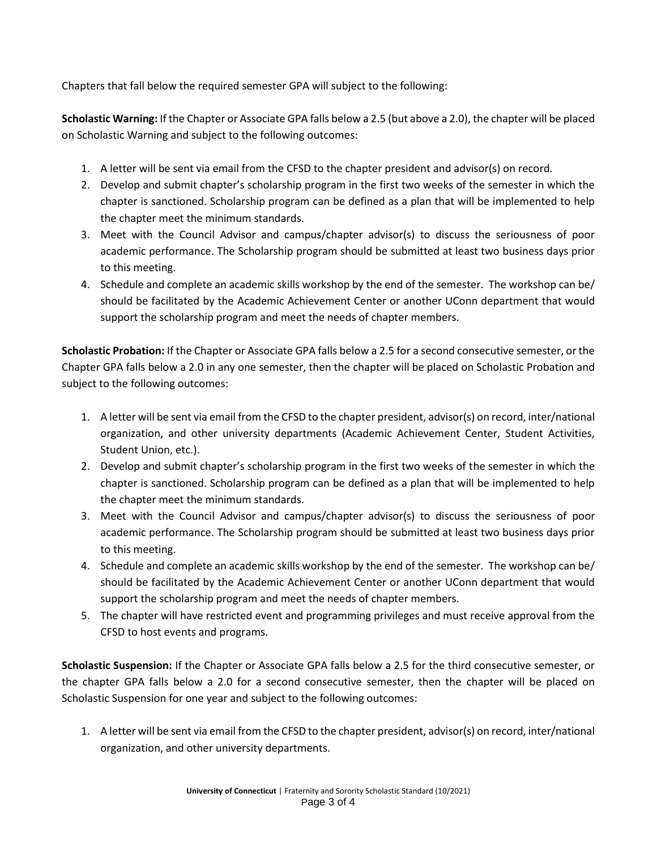Chapters that fall below the required semester GPA will subject to the following:

**Scholastic Warning:** If the Chapter or Associate GPA falls below a 2.5 (but above a 2.0), the chapter will be placed on Scholastic Warning and subject to the following outcomes:

- 1. A letter will be sent via email from the CFSD to the chapter president and advisor(s) on record.
- 2. Develop and submit chapter's scholarship program in the first two weeks of the semester in which the chapter is sanctioned. Scholarship program can be defined as a plan that will be implemented to help the chapter meet the minimum standards.
- 3. Meet with the Council Advisor and campus/chapter advisor(s) to discuss the seriousness of poor academic performance. The Scholarship program should be submitted at least two business days prior to this meeting.
- 4. Schedule and complete an academic skills workshop by the end of the semester. The workshop can be/ should be facilitated by the Academic Achievement Center or another UConn department that would support the scholarship program and meet the needs of chapter members.

**Scholastic Probation:** If the Chapter or Associate GPA falls below a 2.5 for a second consecutive semester, or the Chapter GPA falls below a 2.0 in any one semester, then the chapter will be placed on Scholastic Probation and subject to the following outcomes:

- 1. A letter will be sent via email from the CFSD to the chapter president, advisor(s) on record, inter/national organization, and other university departments (Academic Achievement Center, Student Activities, Student Union, etc.).
- 2. Develop and submit chapter's scholarship program in the first two weeks of the semester in which the chapter is sanctioned. Scholarship program can be defined as a plan that will be implemented to help the chapter meet the minimum standards.
- 3. Meet with the Council Advisor and campus/chapter advisor(s) to discuss the seriousness of poor academic performance. The Scholarship program should be submitted at least two business days prior to this meeting.
- 4. Schedule and complete an academic skills workshop by the end of the semester. The workshop can be/ should be facilitated by the Academic Achievement Center or another UConn department that would support the scholarship program and meet the needs of chapter members.
- 5. The chapter will have restricted event and programming privileges and must receive approval from the CFSD to host events and programs.

**Scholastic Suspension:** If the Chapter or Associate GPA falls below a 2.5 for the third consecutive semester, or the chapter GPA falls below a 2.0 for a second consecutive semester, then the chapter will be placed on Scholastic Suspension for one year and subject to the following outcomes:

1. A letter will be sent via email from the CFSD to the chapter president, advisor(s) on record, inter/national organization, and other university departments.